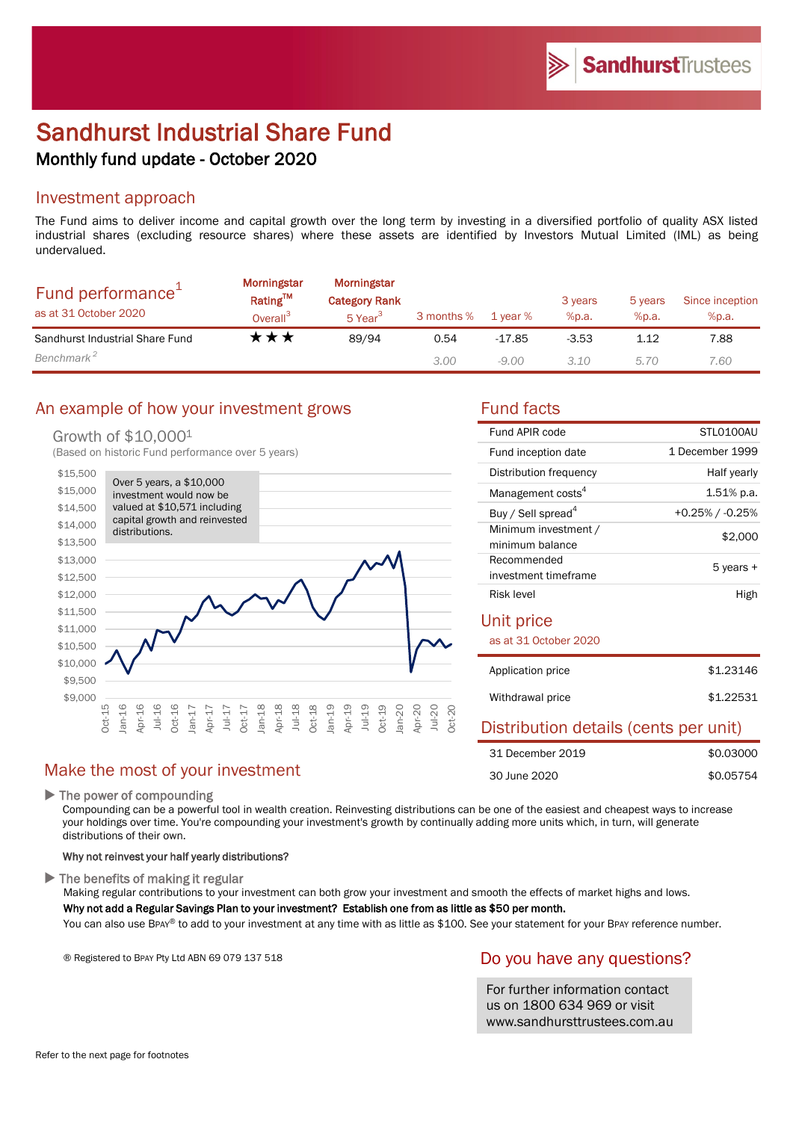# Sandhurst Industrial Share Fund Monthly fund update - October 2020

## Investment approach

The Fund aims to deliver income and capital growth over the long term by investing in a diversified portfolio of quality ASX listed industrial shares (excluding resource shares) where these assets are identified by Investors Mutual Limited (IML) as being undervalued.

| Fund performance <sup>+</sup><br>as at 31 October 2020 | <b>Morningstar</b><br>Rating™<br>Overall <sup>3</sup> | Morningstar<br><b>Category Rank</b><br>5 Year <sup>3</sup> | 3 months % | 1 year % | 3 years<br>%p.a. | 5 years<br>%p.a. | Since inception<br>%p.a. |
|--------------------------------------------------------|-------------------------------------------------------|------------------------------------------------------------|------------|----------|------------------|------------------|--------------------------|
| Sandhurst Industrial Share Fund                        | ⊺★★                                                   | 89/94                                                      | 0.54       | -17.85   | $-3.53$          | 1.12             | 7.88                     |
| Benchmark <sup>2</sup>                                 |                                                       |                                                            | 3.00       | $-9.00$  | 3.10             | 5.70             | 7.60                     |

# An example of how your investment grows Fund facts

#### Growth of \$10,0001

(Based on historic Fund performance over 5 years)



# Make the most of your investment

▶ The power of compounding

Compounding can be a powerful tool in wealth creation. Reinvesting distributions can be one of the easiest and cheapest ways to increase your holdings over time. You're compounding your investment's growth by continually adding more units which, in turn, will generate distributions of their own.

#### Why not reinvest your half yearly distributions?

 $\blacktriangleright$  The benefits of making it regular

Making regular contributions to your investment can both grow your investment and smooth the effects of market highs and lows.

#### Why not add a Regular Savings Plan to your investment? Establish one from as little as \$50 per month.

You can also use BPAY® to add to your investment at any time with as little as \$100. See your statement for your BPAY reference number.

® Registered to BPAY Pty Ltd ABN 69 079 137 518

#### Do you have any questions?

For further information contact us on 1800 634 969 or visit www.sandhursttrustees.com.au

| Fund APIR code                          | STI 0100AU            |
|-----------------------------------------|-----------------------|
| Fund inception date                     | 1 December 1999       |
| Distribution frequency                  | Half yearly           |
| Management costs <sup>4</sup>           | $1.51\%$ p.a.         |
| Buy / Sell spread <sup>4</sup>          | $+0.25\%$ / $-0.25\%$ |
| Minimum investment /<br>minimum balance | \$2,000               |
| Recommended<br>investment timeframe     | 5 years +             |
| Risk level                              | High                  |

#### Unit price

as at 31 October 2020

| Application price | \$1,23146 |
|-------------------|-----------|
| Withdrawal price  | \$1,22531 |

## Distribution details (cents per unit)

| 31 December 2019 | \$0.03000 |
|------------------|-----------|
| 30 June 2020     | \$0.05754 |